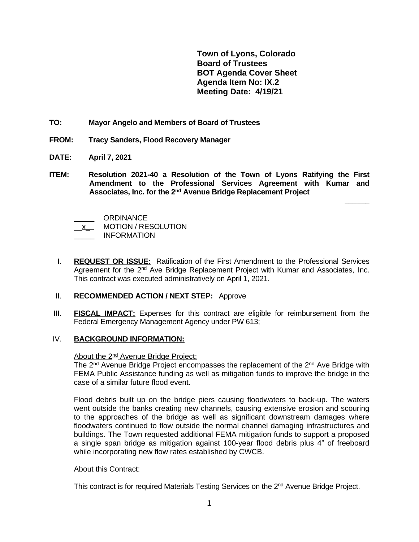**Town of Lyons, Colorado Board of Trustees BOT Agenda Cover Sheet Agenda Item No: IX.2 Meeting Date: 4/19/21**

 **\_\_\_\_\_\_**

- **TO: Mayor Angelo and Members of Board of Trustees**
- **FROM: Tracy Sanders, Flood Recovery Manager**
- **DATE: April 7, 2021**
- **ITEM: Resolution 2021-40 a Resolution of the Town of Lyons Ratifying the First Amendment to the Professional Services Agreement with Kumar and Associates, Inc. for the 2 nd Avenue Bridge Replacement Project**

\_\_\_\_\_ ORDINANCE \_\_x\_ MOTION / RESOLUTION \_\_\_\_\_ INFORMATION  $\overline{a}$ 

I. **REQUEST OR ISSUE:** Ratification of the First Amendment to the Professional Services Agreement for the 2<sup>nd</sup> Ave Bridge Replacement Project with Kumar and Associates, Inc. This contract was executed administratively on April 1, 2021.

## II. **RECOMMENDED ACTION / NEXT STEP:** Approve

III. **FISCAL IMPACT:** Expenses for this contract are eligible for reimbursement from the Federal Emergency Management Agency under PW 613;

# IV. **BACKGROUND INFORMATION:**

About the 2<sup>nd</sup> Avenue Bridge Project:

The 2<sup>nd</sup> Avenue Bridge Project encompasses the replacement of the 2<sup>nd</sup> Ave Bridge with FEMA Public Assistance funding as well as mitigation funds to improve the bridge in the case of a similar future flood event.

Flood debris built up on the bridge piers causing floodwaters to back-up. The waters went outside the banks creating new channels, causing extensive erosion and scouring to the approaches of the bridge as well as significant downstream damages where floodwaters continued to flow outside the normal channel damaging infrastructures and buildings. The Town requested additional FEMA mitigation funds to support a proposed a single span bridge as mitigation against 100-year flood debris plus 4" of freeboard while incorporating new flow rates established by CWCB.

## About this Contract:

This contract is for required Materials Testing Services on the 2<sup>nd</sup> Avenue Bridge Project.